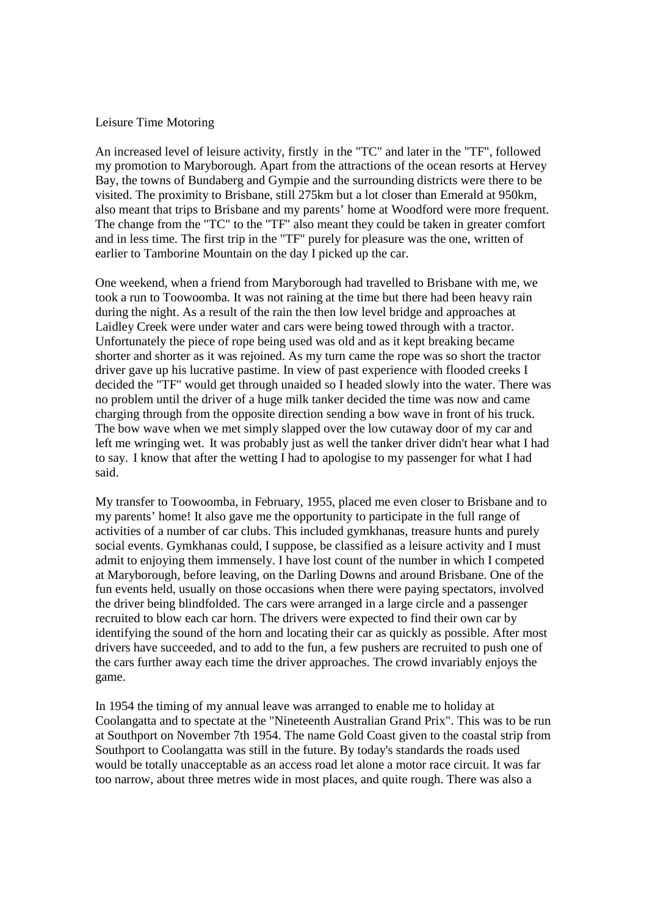## Leisure Time Motoring

An increased level of leisure activity, firstly in the "TC" and later in the "TF", followed my promotion to Maryborough. Apart from the attractions of the ocean resorts at Hervey Bay, the towns of Bundaberg and Gympie and the surrounding districts were there to be visited. The proximity to Brisbane, still 275km but a lot closer than Emerald at 950km, also meant that trips to Brisbane and my parents' home at Woodford were more frequent. The change from the "TC" to the "TF" also meant they could be taken in greater comfort and in less time. The first trip in the "TF" purely for pleasure was the one, written of earlier to Tamborine Mountain on the day I picked up the car.

One weekend, when a friend from Maryborough had travelled to Brisbane with me, we took a run to Toowoomba. It was not raining at the time but there had been heavy rain during the night. As a result of the rain the then low level bridge and approaches at Laidley Creek were under water and cars were being towed through with a tractor. Unfortunately the piece of rope being used was old and as it kept breaking became shorter and shorter as it was rejoined. As my turn came the rope was so short the tractor driver gave up his lucrative pastime. In view of past experience with flooded creeks I decided the "TF" would get through unaided so I headed slowly into the water. There was no problem until the driver of a huge milk tanker decided the time was now and came charging through from the opposite direction sending a bow wave in front of his truck. The bow wave when we met simply slapped over the low cutaway door of my car and left me wringing wet. It was probably just as well the tanker driver didn't hear what I had to say. I know that after the wetting I had to apologise to my passenger for what I had said.

My transfer to Toowoomba, in February, 1955, placed me even closer to Brisbane and to my parents' home! It also gave me the opportunity to participate in the full range of activities of a number of car clubs. This included gymkhanas, treasure hunts and purely social events. Gymkhanas could, I suppose, be classified as a leisure activity and I must admit to enjoying them immensely. I have lost count of the number in which I competed at Maryborough, before leaving, on the Darling Downs and around Brisbane. One of the fun events held, usually on those occasions when there were paying spectators, involved the driver being blindfolded. The cars were arranged in a large circle and a passenger recruited to blow each car horn. The drivers were expected to find their own car by identifying the sound of the horn and locating their car as quickly as possible. After most drivers have succeeded, and to add to the fun, a few pushers are recruited to push one of the cars further away each time the driver approaches. The crowd invariably enjoys the game.

In 1954 the timing of my annual leave was arranged to enable me to holiday at Coolangatta and to spectate at the "Nineteenth Australian Grand Prix". This was to be run at Southport on November 7th 1954. The name Gold Coast given to the coastal strip from Southport to Coolangatta was still in the future. By today's standards the roads used would be totally unacceptable as an access road let alone a motor race circuit. It was far too narrow, about three metres wide in most places, and quite rough. There was also a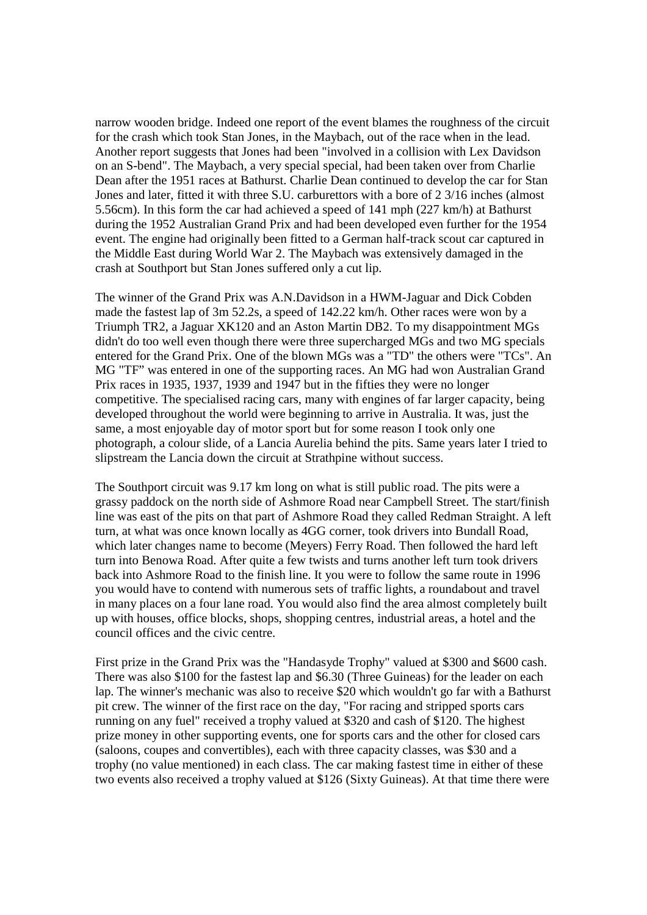narrow wooden bridge. Indeed one report of the event blames the roughness of the circuit for the crash which took Stan Jones, in the Maybach, out of the race when in the lead. Another report suggests that Jones had been "involved in a collision with Lex Davidson on an S-bend". The Maybach, a very special special, had been taken over from Charlie Dean after the 1951 races at Bathurst. Charlie Dean continued to develop the car for Stan Jones and later, fitted it with three S.U. carburettors with a bore of 2 3/16 inches (almost 5.56cm). In this form the car had achieved a speed of 141 mph (227 km/h) at Bathurst during the 1952 Australian Grand Prix and had been developed even further for the 1954 event. The engine had originally been fitted to a German half-track scout car captured in the Middle East during World War 2. The Maybach was extensively damaged in the crash at Southport but Stan Jones suffered only a cut lip.

The winner of the Grand Prix was A.N.Davidson in a HWM-Jaguar and Dick Cobden made the fastest lap of 3m 52.2s, a speed of 142.22 km/h. Other races were won by a Triumph TR2, a Jaguar XK120 and an Aston Martin DB2. To my disappointment MGs didn't do too well even though there were three supercharged MGs and two MG specials entered for the Grand Prix. One of the blown MGs was a "TD" the others were "TCs". An MG "TF" was entered in one of the supporting races. An MG had won Australian Grand Prix races in 1935, 1937, 1939 and 1947 but in the fifties they were no longer competitive. The specialised racing cars, many with engines of far larger capacity, being developed throughout the world were beginning to arrive in Australia. It was, just the same, a most enjoyable day of motor sport but for some reason I took only one photograph, a colour slide, of a Lancia Aurelia behind the pits. Same years later I tried to slipstream the Lancia down the circuit at Strathpine without success.

The Southport circuit was 9.17 km long on what is still public road. The pits were a grassy paddock on the north side of Ashmore Road near Campbell Street. The start/finish line was east of the pits on that part of Ashmore Road they called Redman Straight. A left turn, at what was once known locally as 4GG corner, took drivers into Bundall Road, which later changes name to become (Meyers) Ferry Road. Then followed the hard left turn into Benowa Road. After quite a few twists and turns another left turn took drivers back into Ashmore Road to the finish line. It you were to follow the same route in 1996 you would have to contend with numerous sets of traffic lights, a roundabout and travel in many places on a four lane road. You would also find the area almost completely built up with houses, office blocks, shops, shopping centres, industrial areas, a hotel and the council offices and the civic centre.

First prize in the Grand Prix was the "Handasyde Trophy" valued at \$300 and \$600 cash. There was also \$100 for the fastest lap and \$6.30 (Three Guineas) for the leader on each lap. The winner's mechanic was also to receive \$20 which wouldn't go far with a Bathurst pit crew. The winner of the first race on the day, "For racing and stripped sports cars running on any fuel" received a trophy valued at \$320 and cash of \$120. The highest prize money in other supporting events, one for sports cars and the other for closed cars (saloons, coupes and convertibles), each with three capacity classes, was \$30 and a trophy (no value mentioned) in each class. The car making fastest time in either of these two events also received a trophy valued at \$126 (Sixty Guineas). At that time there were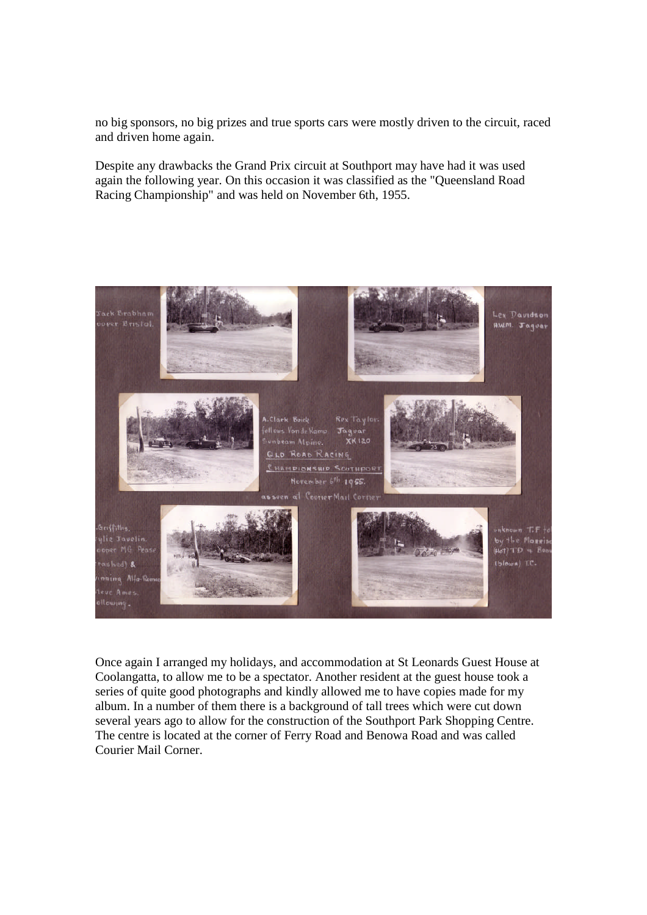no big sponsors, no big prizes and true sports cars were mostly driven to the circuit, raced and driven home again.

Despite any drawbacks the Grand Prix circuit at Southport may have had it was used again the following year. On this occasion it was classified as the "Queensland Road Racing Championship" and was held on November 6th, 1955.



Once again I arranged my holidays, and accommodation at St Leonards Guest House at Coolangatta, to allow me to be a spectator. Another resident at the guest house took a series of quite good photographs and kindly allowed me to have copies made for my album. In a number of them there is a background of tall trees which were cut down several years ago to allow for the construction of the Southport Park Shopping Centre. The centre is located at the corner of Ferry Road and Benowa Road and was called Courier Mail Corner.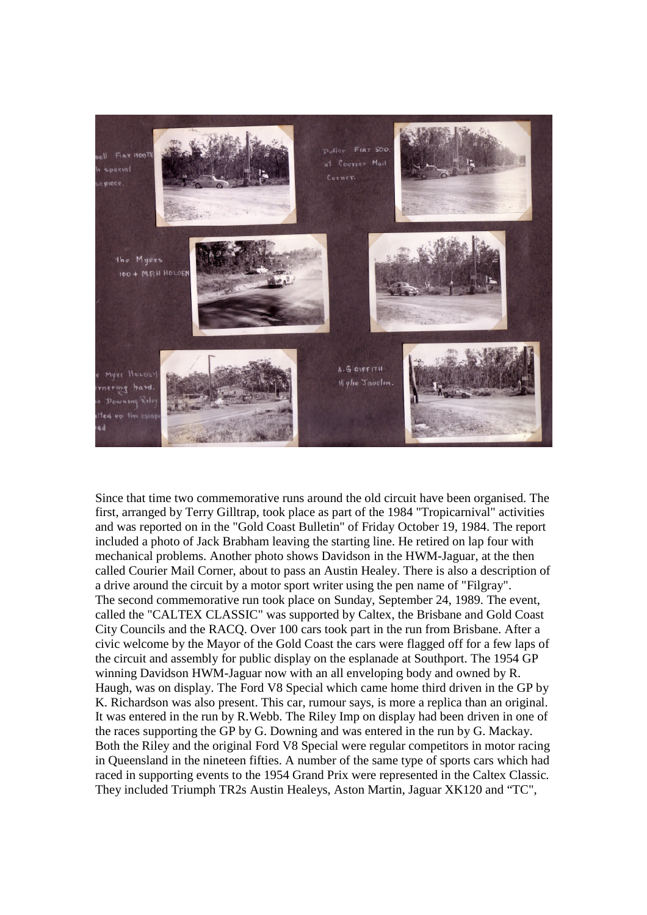

Since that time two commemorative runs around the old circuit have been organised. The first, arranged by Terry Gilltrap, took place as part of the 1984 "Tropicarnival" activities and was reported on in the "Gold Coast Bulletin" of Friday October 19, 1984. The report included a photo of Jack Brabham leaving the starting line. He retired on lap four with mechanical problems. Another photo shows Davidson in the HWM-Jaguar, at the then called Courier Mail Corner, about to pass an Austin Healey. There is also a description of a drive around the circuit by a motor sport writer using the pen name of "Filgray". The second commemorative run took place on Sunday, September 24, 1989. The event, called the "CALTEX CLASSIC" was supported by Caltex, the Brisbane and Gold Coast City Councils and the RACQ. Over 100 cars took part in the run from Brisbane. After a civic welcome by the Mayor of the Gold Coast the cars were flagged off for a few laps of the circuit and assembly for public display on the esplanade at Southport. The 1954 GP winning Davidson HWM-Jaguar now with an all enveloping body and owned by R. Haugh, was on display. The Ford V8 Special which came home third driven in the GP by K. Richardson was also present. This car, rumour says, is more a replica than an original. It was entered in the run by R.Webb. The Riley Imp on display had been driven in one of the races supporting the GP by G. Downing and was entered in the run by G. Mackay. Both the Riley and the original Ford V8 Special were regular competitors in motor racing in Queensland in the nineteen fifties. A number of the same type of sports cars which had raced in supporting events to the 1954 Grand Prix were represented in the Caltex Classic. They included Triumph TR2s Austin Healeys, Aston Martin, Jaguar XK120 and "TC",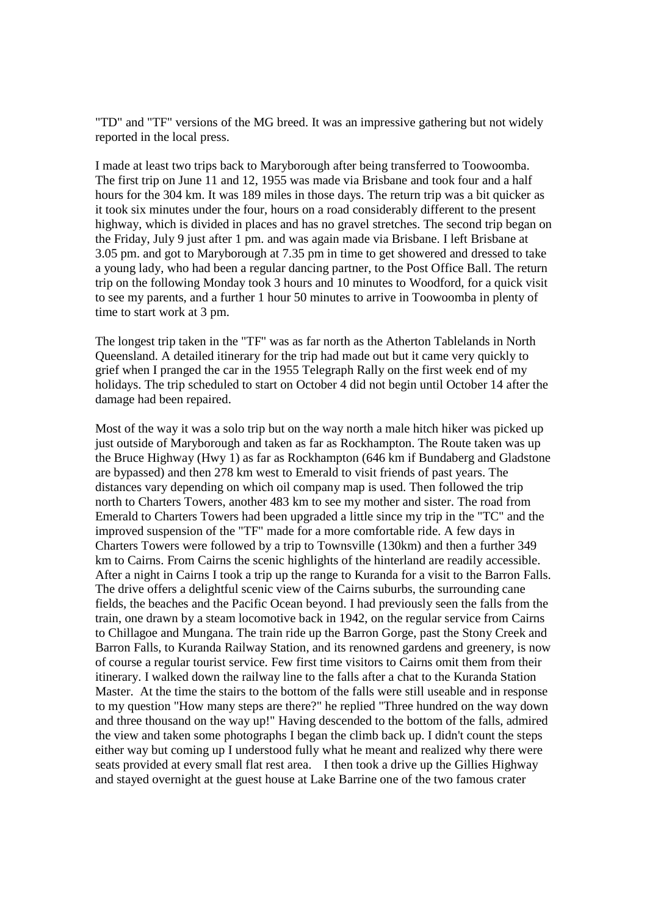"TD" and "TF" versions of the MG breed. It was an impressive gathering but not widely reported in the local press.

I made at least two trips back to Maryborough after being transferred to Toowoomba. The first trip on June 11 and 12, 1955 was made via Brisbane and took four and a half hours for the 304 km. It was 189 miles in those days. The return trip was a bit quicker as it took six minutes under the four, hours on a road considerably different to the present highway, which is divided in places and has no gravel stretches. The second trip began on the Friday, July 9 just after 1 pm. and was again made via Brisbane. I left Brisbane at 3.05 pm. and got to Maryborough at 7.35 pm in time to get showered and dressed to take a young lady, who had been a regular dancing partner, to the Post Office Ball. The return trip on the following Monday took 3 hours and 10 minutes to Woodford, for a quick visit to see my parents, and a further 1 hour 50 minutes to arrive in Toowoomba in plenty of time to start work at 3 pm.

The longest trip taken in the "TF" was as far north as the Atherton Tablelands in North Queensland. A detailed itinerary for the trip had made out but it came very quickly to grief when I pranged the car in the 1955 Telegraph Rally on the first week end of my holidays. The trip scheduled to start on October 4 did not begin until October 14 after the damage had been repaired.

Most of the way it was a solo trip but on the way north a male hitch hiker was picked up just outside of Maryborough and taken as far as Rockhampton. The Route taken was up the Bruce Highway (Hwy 1) as far as Rockhampton (646 km if Bundaberg and Gladstone are bypassed) and then 278 km west to Emerald to visit friends of past years. The distances vary depending on which oil company map is used. Then followed the trip north to Charters Towers, another 483 km to see my mother and sister. The road from Emerald to Charters Towers had been upgraded a little since my trip in the "TC" and the improved suspension of the "TF" made for a more comfortable ride. A few days in Charters Towers were followed by a trip to Townsville (130km) and then a further 349 km to Cairns. From Cairns the scenic highlights of the hinterland are readily accessible. After a night in Cairns I took a trip up the range to Kuranda for a visit to the Barron Falls. The drive offers a delightful scenic view of the Cairns suburbs, the surrounding cane fields, the beaches and the Pacific Ocean beyond. I had previously seen the falls from the train, one drawn by a steam locomotive back in 1942, on the regular service from Cairns to Chillagoe and Mungana. The train ride up the Barron Gorge, past the Stony Creek and Barron Falls, to Kuranda Railway Station, and its renowned gardens and greenery, is now of course a regular tourist service. Few first time visitors to Cairns omit them from their itinerary. I walked down the railway line to the falls after a chat to the Kuranda Station Master. At the time the stairs to the bottom of the falls were still useable and in response to my question "How many steps are there?" he replied "Three hundred on the way down and three thousand on the way up!" Having descended to the bottom of the falls, admired the view and taken some photographs I began the climb back up. I didn't count the steps either way but coming up I understood fully what he meant and realized why there were seats provided at every small flat rest area. I then took a drive up the Gillies Highway and stayed overnight at the guest house at Lake Barrine one of the two famous crater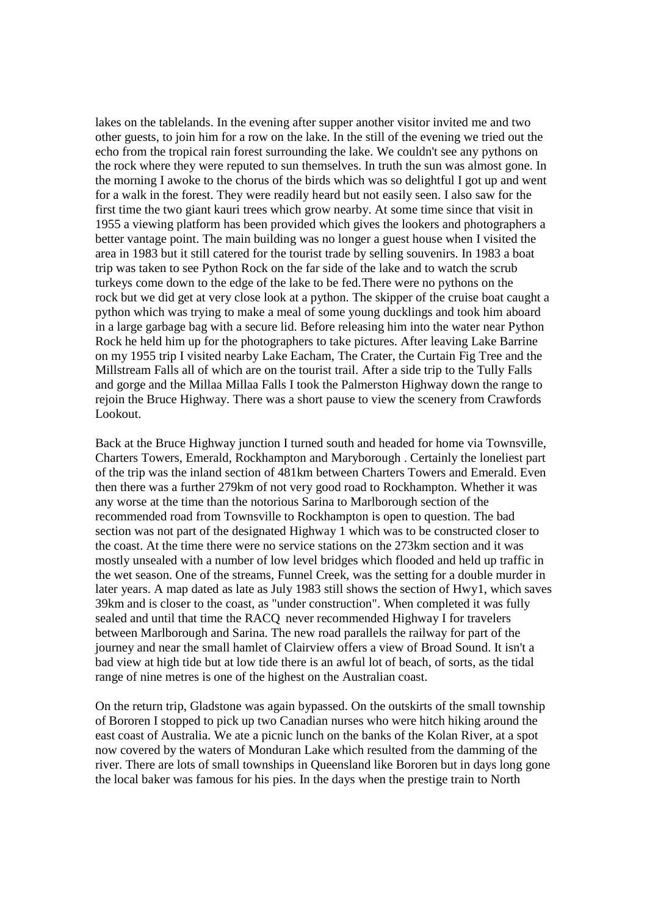lakes on the tablelands. In the evening after supper another visitor invited me and two other guests, to join him for a row on the lake. In the still of the evening we tried out the echo from the tropical rain forest surrounding the lake. We couldn't see any pythons on the rock where they were reputed to sun themselves. In truth the sun was almost gone. In the morning I awoke to the chorus of the birds which was so delightful I got up and went for a walk in the forest. They were readily heard but not easily seen. I also saw for the first time the two giant kauri trees which grow nearby. At some time since that visit in 1955 a viewing platform has been provided which gives the lookers and photographers a better vantage point. The main building was no longer a guest house when I visited the area in 1983 but it still catered for the tourist trade by selling souvenirs. In 1983 a boat trip was taken to see Python Rock on the far side of the lake and to watch the scrub turkeys come down to the edge of the lake to be fed.There were no pythons on the rock but we did get at very close look at a python. The skipper of the cruise boat caught a python which was trying to make a meal of some young ducklings and took him aboard in a large garbage bag with a secure lid. Before releasing him into the water near Python Rock he held him up for the photographers to take pictures. After leaving Lake Barrine on my 1955 trip I visited nearby Lake Eacham, The Crater, the Curtain Fig Tree and the Millstream Falls all of which are on the tourist trail. After a side trip to the Tully Falls and gorge and the Millaa Millaa Falls I took the Palmerston Highway down the range to rejoin the Bruce Highway. There was a short pause to view the scenery from Crawfords Lookout.

Back at the Bruce Highway junction I turned south and headed for home via Townsville, Charters Towers, Emerald, Rockhampton and Maryborough . Certainly the loneliest part of the trip was the inland section of 481km between Charters Towers and Emerald. Even then there was a further 279km of not very good road to Rockhampton. Whether it was any worse at the time than the notorious Sarina to Marlborough section of the recommended road from Townsville to Rockhampton is open to question. The bad section was not part of the designated Highway 1 which was to be constructed closer to the coast. At the time there were no service stations on the 273km section and it was mostly unsealed with a number of low level bridges which flooded and held up traffic in the wet season. One of the streams, Funnel Creek, was the setting for a double murder in later years. A map dated as late as July 1983 still shows the section of Hwy1, which saves 39km and is closer to the coast, as "under construction". When completed it was fully sealed and until that time the RACQ never recommended Highway I for travelers between Marlborough and Sarina. The new road parallels the railway for part of the journey and near the small hamlet of Clairview offers a view of Broad Sound. It isn't a bad view at high tide but at low tide there is an awful lot of beach, of sorts, as the tidal range of nine metres is one of the highest on the Australian coast.

On the return trip, Gladstone was again bypassed. On the outskirts of the small township of Bororen I stopped to pick up two Canadian nurses who were hitch hiking around the east coast of Australia. We ate a picnic lunch on the banks of the Kolan River, at a spot now covered by the waters of Monduran Lake which resulted from the damming of the river. There are lots of small townships in Queensland like Bororen but in days long gone the local baker was famous for his pies. In the days when the prestige train to North